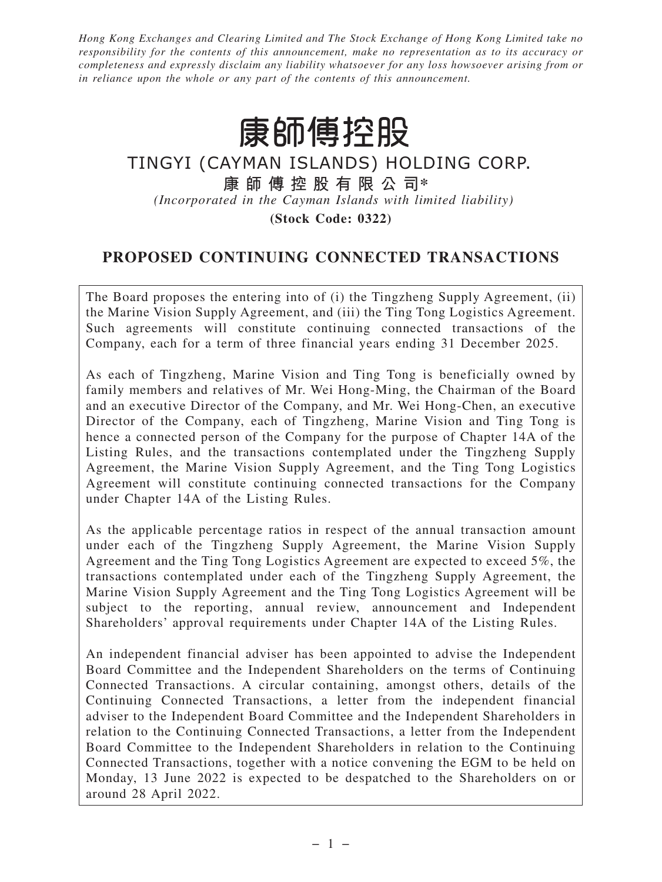*Hong Kong Exchanges and Clearing Limited and The Stock Exchange of Hong Kong Limited take no responsibility for the contents of this announcement, make no representation as to its accuracy or completeness and expressly disclaim any liability whatsoever for any loss howsoever arising from or in reliance upon the whole or any part of the contents of this announcement.*

# 康師傅控股

## TINGYI (CAYMAN ISLANDS) HOLDING CORP. **康師傅控股有限公司\*** *(Incorporated in the Cayman Islands with limited liability)*

**(Stock Code: 0322)**

### **PROPOSED CONTINUING CONNECTED TRANSACTIONS**

The Board proposes the entering into of (i) the Tingzheng Supply Agreement, (ii) the Marine Vision Supply Agreement, and (iii) the Ting Tong Logistics Agreement. Such agreements will constitute continuing connected transactions of the Company, each for a term of three financial years ending 31 December 2025.

As each of Tingzheng, Marine Vision and Ting Tong is beneficially owned by family members and relatives of Mr. Wei Hong-Ming, the Chairman of the Board and an executive Director of the Company, and Mr. Wei Hong-Chen, an executive Director of the Company, each of Tingzheng, Marine Vision and Ting Tong is hence a connected person of the Company for the purpose of Chapter 14A of the Listing Rules, and the transactions contemplated under the Tingzheng Supply Agreement, the Marine Vision Supply Agreement, and the Ting Tong Logistics Agreement will constitute continuing connected transactions for the Company under Chapter 14A of the Listing Rules.

As the applicable percentage ratios in respect of the annual transaction amount under each of the Tingzheng Supply Agreement, the Marine Vision Supply Agreement and the Ting Tong Logistics Agreement are expected to exceed 5%, the transactions contemplated under each of the Tingzheng Supply Agreement, the Marine Vision Supply Agreement and the Ting Tong Logistics Agreement will be subject to the reporting, annual review, announcement and Independent Shareholders' approval requirements under Chapter 14A of the Listing Rules.

An independent financial adviser has been appointed to advise the Independent Board Committee and the Independent Shareholders on the terms of Continuing Connected Transactions. A circular containing, amongst others, details of the Continuing Connected Transactions, a letter from the independent financial adviser to the Independent Board Committee and the Independent Shareholders in relation to the Continuing Connected Transactions, a letter from the Independent Board Committee to the Independent Shareholders in relation to the Continuing Connected Transactions, together with a notice convening the EGM to be held on Monday, 13 June 2022 is expected to be despatched to the Shareholders on or around 28 April 2022.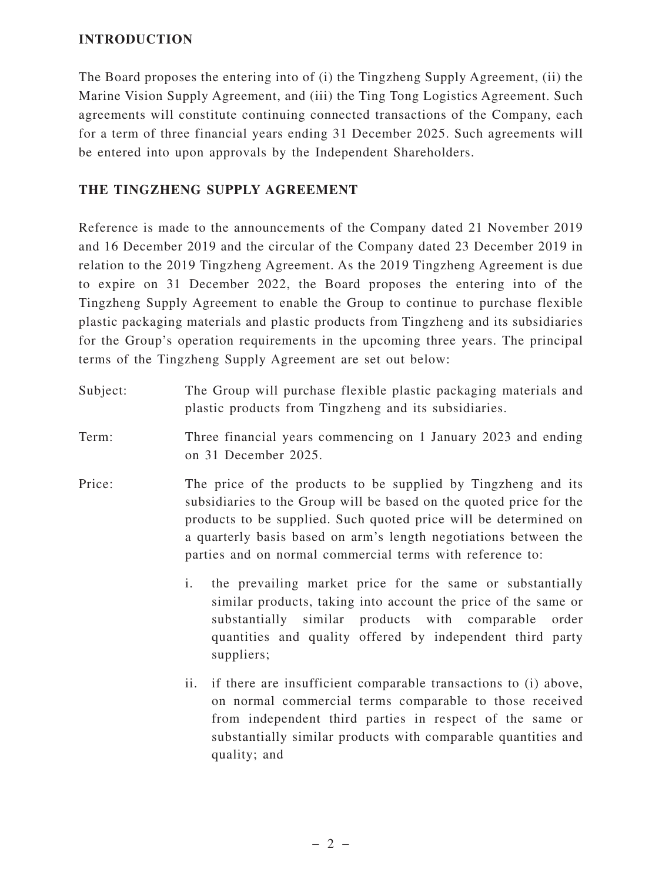#### **INTRODUCTION**

The Board proposes the entering into of (i) the Tingzheng Supply Agreement, (ii) the Marine Vision Supply Agreement, and (iii) the Ting Tong Logistics Agreement. Such agreements will constitute continuing connected transactions of the Company, each for a term of three financial years ending 31 December 2025. Such agreements will be entered into upon approvals by the Independent Shareholders.

#### **THE TINGZHENG SUPPLY AGREEMENT**

Reference is made to the announcements of the Company dated 21 November 2019 and 16 December 2019 and the circular of the Company dated 23 December 2019 in relation to the 2019 Tingzheng Agreement. As the 2019 Tingzheng Agreement is due to expire on 31 December 2022, the Board proposes the entering into of the Tingzheng Supply Agreement to enable the Group to continue to purchase flexible plastic packaging materials and plastic products from Tingzheng and its subsidiaries for the Group's operation requirements in the upcoming three years. The principal terms of the Tingzheng Supply Agreement are set out below:

- Subject: The Group will purchase flexible plastic packaging materials and plastic products from Tingzheng and its subsidiaries.
- Term: Three financial years commencing on 1 January 2023 and ending on 31 December 2025.
- Price: The price of the products to be supplied by Tingzheng and its subsidiaries to the Group will be based on the quoted price for the products to be supplied. Such quoted price will be determined on a quarterly basis based on arm's length negotiations between the parties and on normal commercial terms with reference to:
	- i. the prevailing market price for the same or substantially similar products, taking into account the price of the same or substantially similar products with comparable order quantities and quality offered by independent third party suppliers;
	- ii. if there are insufficient comparable transactions to (i) above, on normal commercial terms comparable to those received from independent third parties in respect of the same or substantially similar products with comparable quantities and quality; and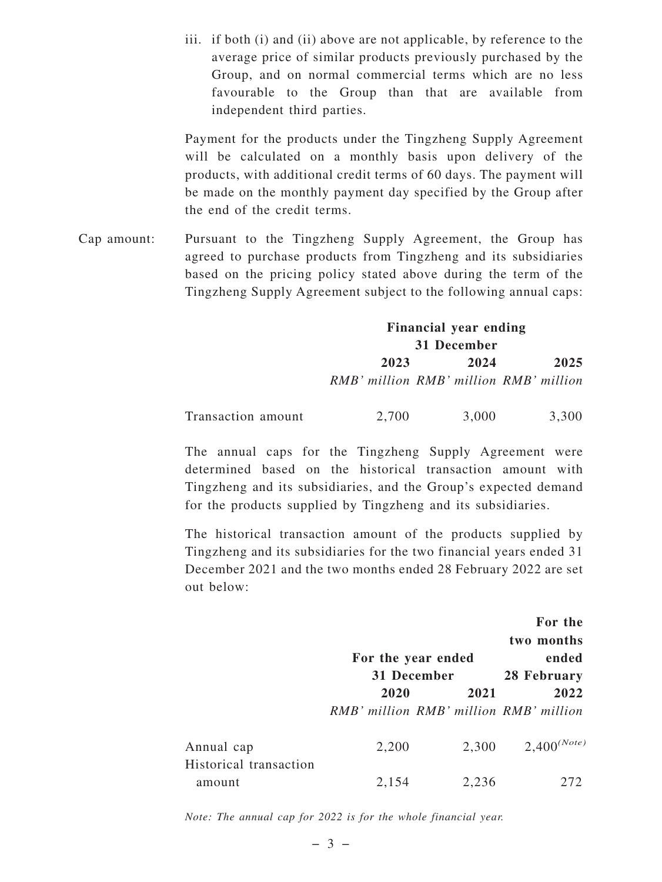iii. if both (i) and (ii) above are not applicable, by reference to the average price of similar products previously purchased by the Group, and on normal commercial terms which are no less favourable to the Group than that are available from independent third parties.

Payment for the products under the Tingzheng Supply Agreement will be calculated on a monthly basis upon delivery of the products, with additional credit terms of 60 days. The payment will be made on the monthly payment day specified by the Group after the end of the credit terms.

Cap amount: Pursuant to the Tingzheng Supply Agreement, the Group has agreed to purchase products from Tingzheng and its subsidiaries based on the pricing policy stated above during the term of the Tingzheng Supply Agreement subject to the following annual caps:

## **Financial year ending 31 December 2023 2024 2025** *RMB' million RMB' million RMB' million*

| Transaction amount | 2,700 | 3,000 | 3,300 |
|--------------------|-------|-------|-------|
|--------------------|-------|-------|-------|

The annual caps for the Tingzheng Supply Agreement were determined based on the historical transaction amount with Tingzheng and its subsidiaries, and the Group's expected demand for the products supplied by Tingzheng and its subsidiaries.

The historical transaction amount of the products supplied by Tingzheng and its subsidiaries for the two financial years ended 31 December 2021 and the two months ended 28 February 2022 are set out below:

|                                  |                    |                                        | For the          |
|----------------------------------|--------------------|----------------------------------------|------------------|
|                                  |                    |                                        | two months       |
|                                  | For the year ended |                                        | ended            |
|                                  |                    | 31 December                            | 28 February      |
|                                  | 2020               | 2021                                   | 2022             |
|                                  |                    | RMB' million RMB' million RMB' million |                  |
| Annual cap                       | 2,200              | 2,300                                  | $2,400^{(Note)}$ |
| Historical transaction<br>amount | 2,154              | 2,236                                  | 272              |

*Note: The annual cap for 2022 is for the whole financial year.*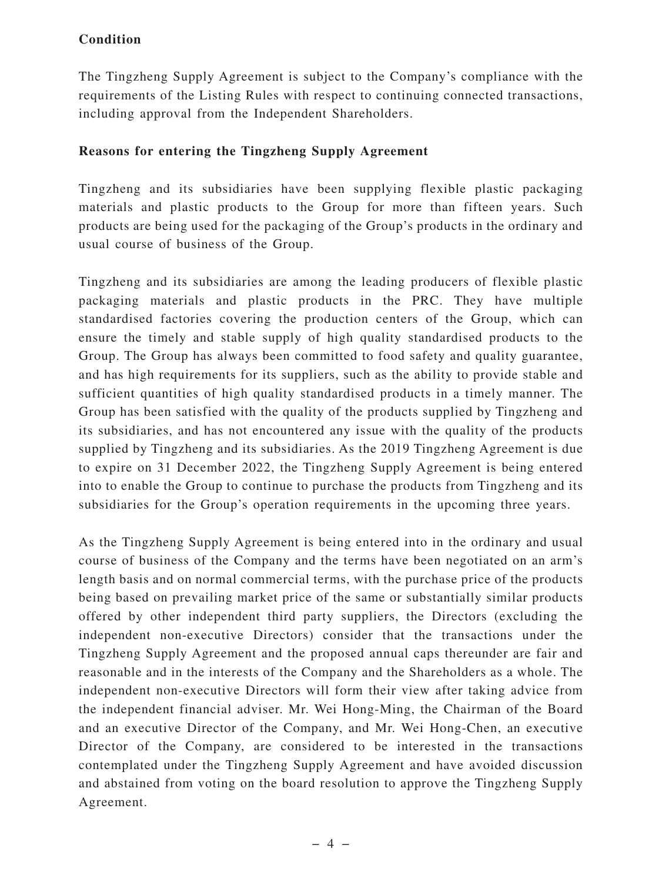#### **Condition**

The Tingzheng Supply Agreement is subject to the Company's compliance with the requirements of the Listing Rules with respect to continuing connected transactions, including approval from the Independent Shareholders.

#### **Reasons for entering the Tingzheng Supply Agreement**

Tingzheng and its subsidiaries have been supplying flexible plastic packaging materials and plastic products to the Group for more than fifteen years. Such products are being used for the packaging of the Group's products in the ordinary and usual course of business of the Group.

Tingzheng and its subsidiaries are among the leading producers of flexible plastic packaging materials and plastic products in the PRC. They have multiple standardised factories covering the production centers of the Group, which can ensure the timely and stable supply of high quality standardised products to the Group. The Group has always been committed to food safety and quality guarantee, and has high requirements for its suppliers, such as the ability to provide stable and sufficient quantities of high quality standardised products in a timely manner. The Group has been satisfied with the quality of the products supplied by Tingzheng and its subsidiaries, and has not encountered any issue with the quality of the products supplied by Tingzheng and its subsidiaries. As the 2019 Tingzheng Agreement is due to expire on 31 December 2022, the Tingzheng Supply Agreement is being entered into to enable the Group to continue to purchase the products from Tingzheng and its subsidiaries for the Group's operation requirements in the upcoming three years.

As the Tingzheng Supply Agreement is being entered into in the ordinary and usual course of business of the Company and the terms have been negotiated on an arm's length basis and on normal commercial terms, with the purchase price of the products being based on prevailing market price of the same or substantially similar products offered by other independent third party suppliers, the Directors (excluding the independent non-executive Directors) consider that the transactions under the Tingzheng Supply Agreement and the proposed annual caps thereunder are fair and reasonable and in the interests of the Company and the Shareholders as a whole. The independent non-executive Directors will form their view after taking advice from the independent financial adviser. Mr. Wei Hong-Ming, the Chairman of the Board and an executive Director of the Company, and Mr. Wei Hong-Chen, an executive Director of the Company, are considered to be interested in the transactions contemplated under the Tingzheng Supply Agreement and have avoided discussion and abstained from voting on the board resolution to approve the Tingzheng Supply Agreement.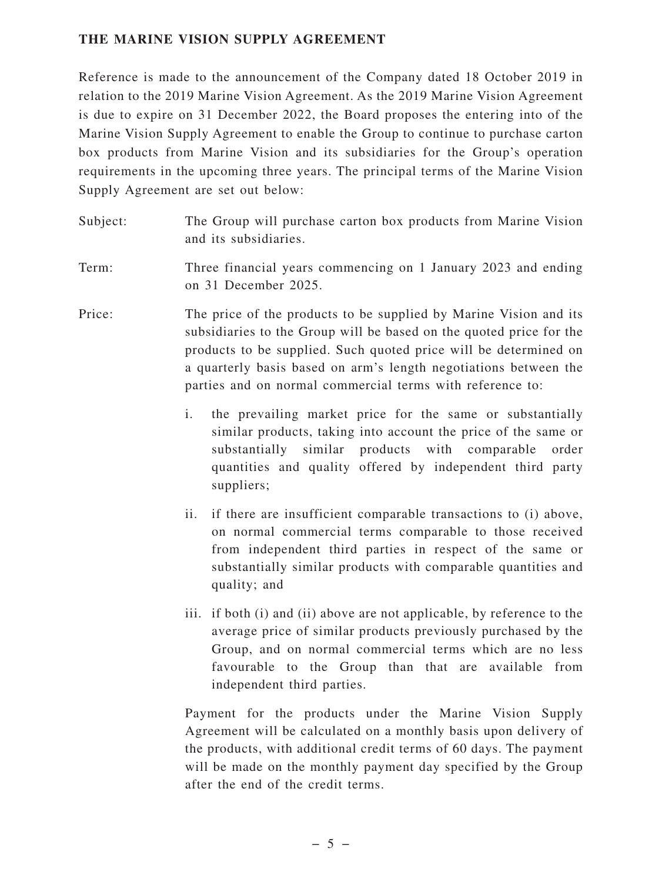#### **THE MARINE VISION SUPPLY AGREEMENT**

Reference is made to the announcement of the Company dated 18 October 2019 in relation to the 2019 Marine Vision Agreement. As the 2019 Marine Vision Agreement is due to expire on 31 December 2022, the Board proposes the entering into of the Marine Vision Supply Agreement to enable the Group to continue to purchase carton box products from Marine Vision and its subsidiaries for the Group's operation requirements in the upcoming three years. The principal terms of the Marine Vision Supply Agreement are set out below:

Subject: The Group will purchase carton box products from Marine Vision and its subsidiaries.

Term: Three financial years commencing on 1 January 2023 and ending on 31 December 2025.

Price: The price of the products to be supplied by Marine Vision and its subsidiaries to the Group will be based on the quoted price for the products to be supplied. Such quoted price will be determined on a quarterly basis based on arm's length negotiations between the parties and on normal commercial terms with reference to:

- i. the prevailing market price for the same or substantially similar products, taking into account the price of the same or substantially similar products with comparable order quantities and quality offered by independent third party suppliers;
- ii. if there are insufficient comparable transactions to (i) above, on normal commercial terms comparable to those received from independent third parties in respect of the same or substantially similar products with comparable quantities and quality; and
- iii. if both (i) and (ii) above are not applicable, by reference to the average price of similar products previously purchased by the Group, and on normal commercial terms which are no less favourable to the Group than that are available from independent third parties.

Payment for the products under the Marine Vision Supply Agreement will be calculated on a monthly basis upon delivery of the products, with additional credit terms of 60 days. The payment will be made on the monthly payment day specified by the Group after the end of the credit terms.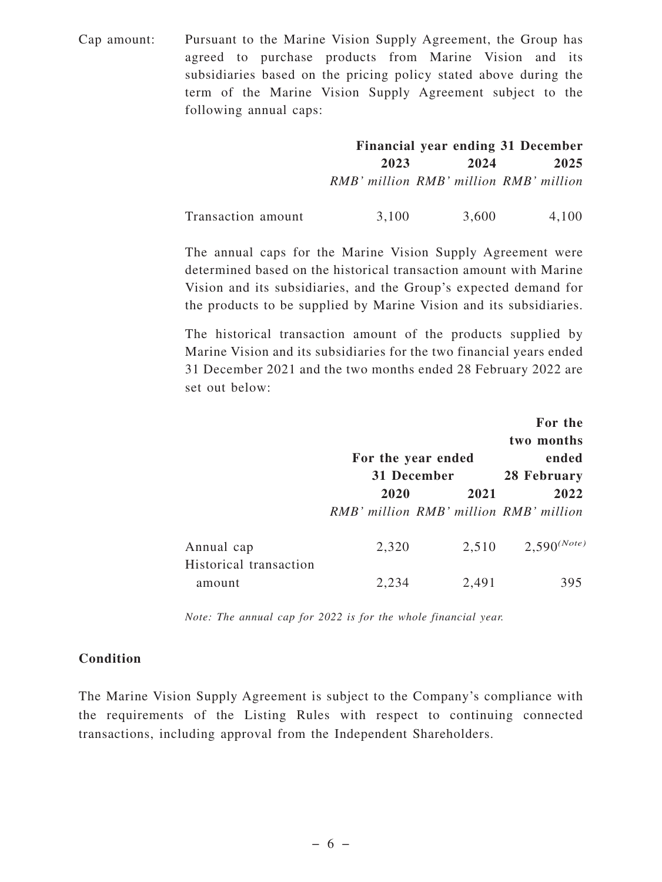Cap amount: Pursuant to the Marine Vision Supply Agreement, the Group has agreed to purchase products from Marine Vision and its subsidiaries based on the pricing policy stated above during the term of the Marine Vision Supply Agreement subject to the following annual caps:

|                    |                                        |       | Financial year ending 31 December |
|--------------------|----------------------------------------|-------|-----------------------------------|
|                    | 2023                                   | 2024  | 2025                              |
|                    | RMB' million RMB' million RMB' million |       |                                   |
| Transaction amount | 3,100                                  | 3,600 | 4,100                             |

The annual caps for the Marine Vision Supply Agreement were determined based on the historical transaction amount with Marine Vision and its subsidiaries, and the Group's expected demand for the products to be supplied by Marine Vision and its subsidiaries.

The historical transaction amount of the products supplied by Marine Vision and its subsidiaries for the two financial years ended 31 December 2021 and the two months ended 28 February 2022 are set out below:

|                                  |       |                                        | For the          |
|----------------------------------|-------|----------------------------------------|------------------|
|                                  |       |                                        | two months       |
|                                  |       | For the year ended                     | ended            |
|                                  |       | 31 December                            | 28 February      |
|                                  | 2020  | 2021                                   | 2022             |
|                                  |       | RMB' million RMB' million RMB' million |                  |
| Annual cap                       | 2,320 | 2,510                                  | $2,590^{(Note)}$ |
| Historical transaction<br>amount | 2,234 | 2,491                                  | 395              |

*Note: The annual cap for 2022 is for the whole financial year.*

#### **Condition**

The Marine Vision Supply Agreement is subject to the Company's compliance with the requirements of the Listing Rules with respect to continuing connected transactions, including approval from the Independent Shareholders.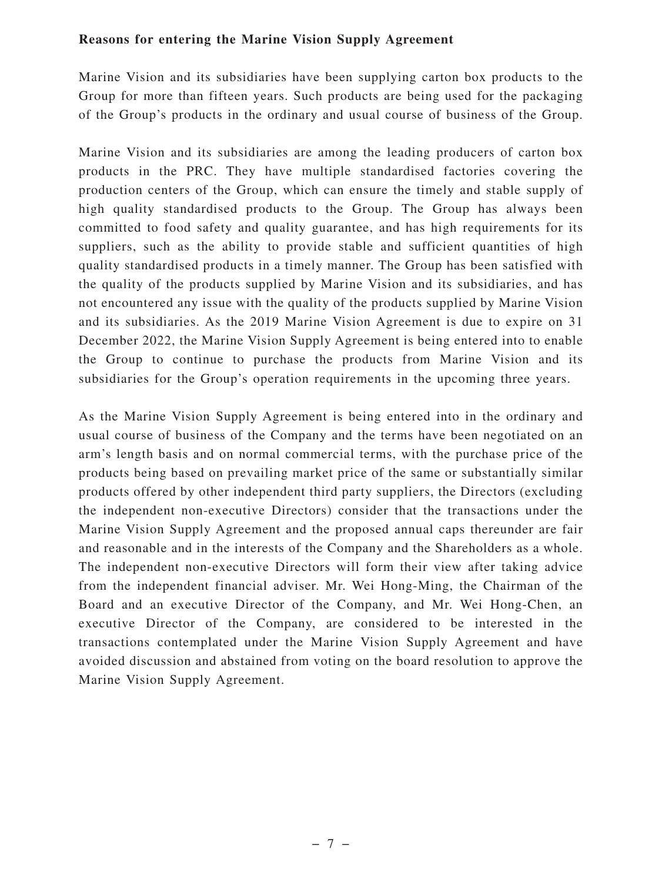#### **Reasons for entering the Marine Vision Supply Agreement**

Marine Vision and its subsidiaries have been supplying carton box products to the Group for more than fifteen years. Such products are being used for the packaging of the Group's products in the ordinary and usual course of business of the Group.

Marine Vision and its subsidiaries are among the leading producers of carton box products in the PRC. They have multiple standardised factories covering the production centers of the Group, which can ensure the timely and stable supply of high quality standardised products to the Group. The Group has always been committed to food safety and quality guarantee, and has high requirements for its suppliers, such as the ability to provide stable and sufficient quantities of high quality standardised products in a timely manner. The Group has been satisfied with the quality of the products supplied by Marine Vision and its subsidiaries, and has not encountered any issue with the quality of the products supplied by Marine Vision and its subsidiaries. As the 2019 Marine Vision Agreement is due to expire on 31 December 2022, the Marine Vision Supply Agreement is being entered into to enable the Group to continue to purchase the products from Marine Vision and its subsidiaries for the Group's operation requirements in the upcoming three years.

As the Marine Vision Supply Agreement is being entered into in the ordinary and usual course of business of the Company and the terms have been negotiated on an arm's length basis and on normal commercial terms, with the purchase price of the products being based on prevailing market price of the same or substantially similar products offered by other independent third party suppliers, the Directors (excluding the independent non-executive Directors) consider that the transactions under the Marine Vision Supply Agreement and the proposed annual caps thereunder are fair and reasonable and in the interests of the Company and the Shareholders as a whole. The independent non-executive Directors will form their view after taking advice from the independent financial adviser. Mr. Wei Hong-Ming, the Chairman of the Board and an executive Director of the Company, and Mr. Wei Hong-Chen, an executive Director of the Company, are considered to be interested in the transactions contemplated under the Marine Vision Supply Agreement and have avoided discussion and abstained from voting on the board resolution to approve the Marine Vision Supply Agreement.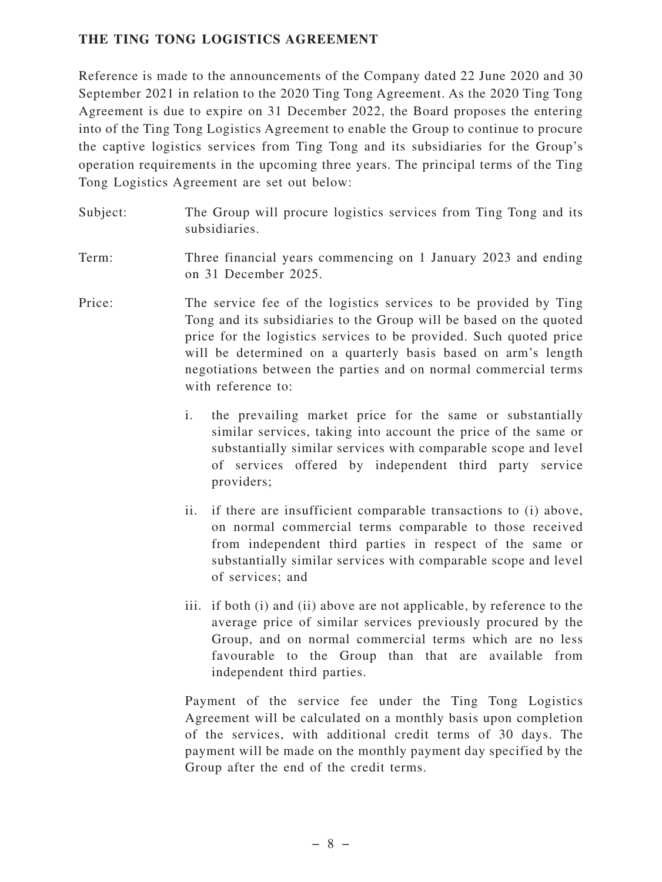#### **THE TING TONG LOGISTICS AGREEMENT**

Reference is made to the announcements of the Company dated 22 June 2020 and 30 September 2021 in relation to the 2020 Ting Tong Agreement. As the 2020 Ting Tong Agreement is due to expire on 31 December 2022, the Board proposes the entering into of the Ting Tong Logistics Agreement to enable the Group to continue to procure the captive logistics services from Ting Tong and its subsidiaries for the Group's operation requirements in the upcoming three years. The principal terms of the Ting Tong Logistics Agreement are set out below:

- Subject: The Group will procure logistics services from Ting Tong and its subsidiaries.
- Term: Three financial years commencing on 1 January 2023 and ending on 31 December 2025.
- Price: The service fee of the logistics services to be provided by Ting Tong and its subsidiaries to the Group will be based on the quoted price for the logistics services to be provided. Such quoted price will be determined on a quarterly basis based on arm's length negotiations between the parties and on normal commercial terms with reference to:
	- i. the prevailing market price for the same or substantially similar services, taking into account the price of the same or substantially similar services with comparable scope and level of services offered by independent third party service providers;
	- ii. if there are insufficient comparable transactions to (i) above, on normal commercial terms comparable to those received from independent third parties in respect of the same or substantially similar services with comparable scope and level of services; and
	- iii. if both (i) and (ii) above are not applicable, by reference to the average price of similar services previously procured by the Group, and on normal commercial terms which are no less favourable to the Group than that are available from independent third parties.

Payment of the service fee under the Ting Tong Logistics Agreement will be calculated on a monthly basis upon completion of the services, with additional credit terms of 30 days. The payment will be made on the monthly payment day specified by the Group after the end of the credit terms.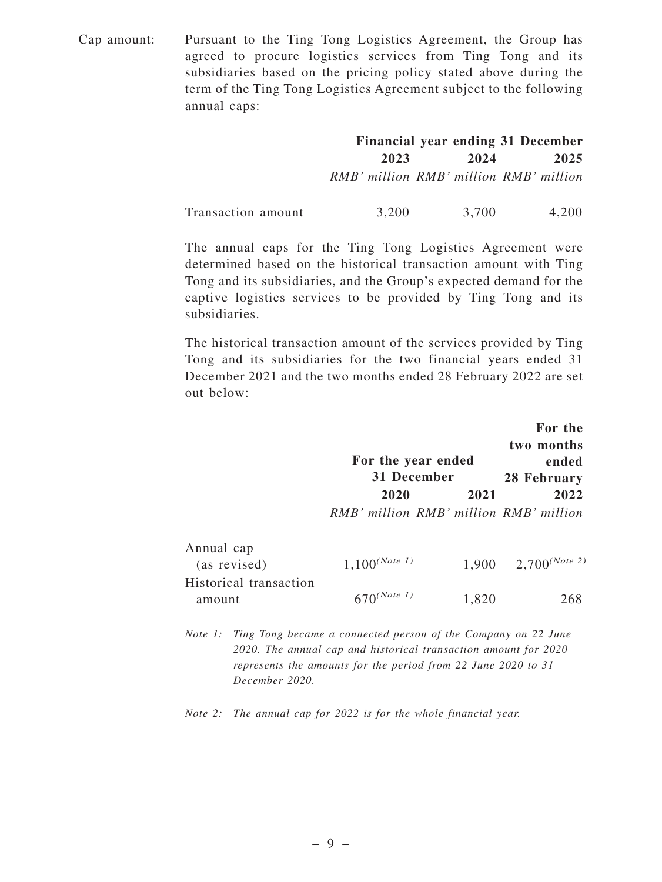Cap amount: Pursuant to the Ting Tong Logistics Agreement, the Group has agreed to procure logistics services from Ting Tong and its subsidiaries based on the pricing policy stated above during the term of the Ting Tong Logistics Agreement subject to the following annual caps:

|                    |                                        |       | Financial year ending 31 December |
|--------------------|----------------------------------------|-------|-----------------------------------|
|                    | 2023                                   | 2024  | 2025                              |
|                    | RMB' million RMB' million RMB' million |       |                                   |
| Transaction amount | 3,200                                  | 3,700 | 4,200                             |

The annual caps for the Ting Tong Logistics Agreement were determined based on the historical transaction amount with Ting Tong and its subsidiaries, and the Group's expected demand for the captive logistics services to be provided by Ting Tong and its subsidiaries.

The historical transaction amount of the services provided by Ting Tong and its subsidiaries for the two financial years ended 31 December 2021 and the two months ended 28 February 2022 are set out below:

|                        | For the year ended<br>31 December      |       | For the<br>two months<br>ended<br>28 February |
|------------------------|----------------------------------------|-------|-----------------------------------------------|
|                        | 2020                                   | 2021  | 2022                                          |
|                        | RMB' million RMB' million RMB' million |       |                                               |
| Annual cap             |                                        |       |                                               |
| (as revised)           | $1,100^{(Note 1)}$                     | 1,900 | $2,700^{(Note 2)}$                            |
| Historical transaction |                                        |       |                                               |
| amount                 | $\bigcap (Note\ 1)$                    | 1,820 |                                               |

*Note 1: Ting Tong became a connected person of the Company on 22 June 2020. The annual cap and historical transaction amount for 2020 represents the amounts for the period from 22 June 2020 to 31 December 2020.*

*Note 2: The annual cap for 2022 is for the whole financial year.*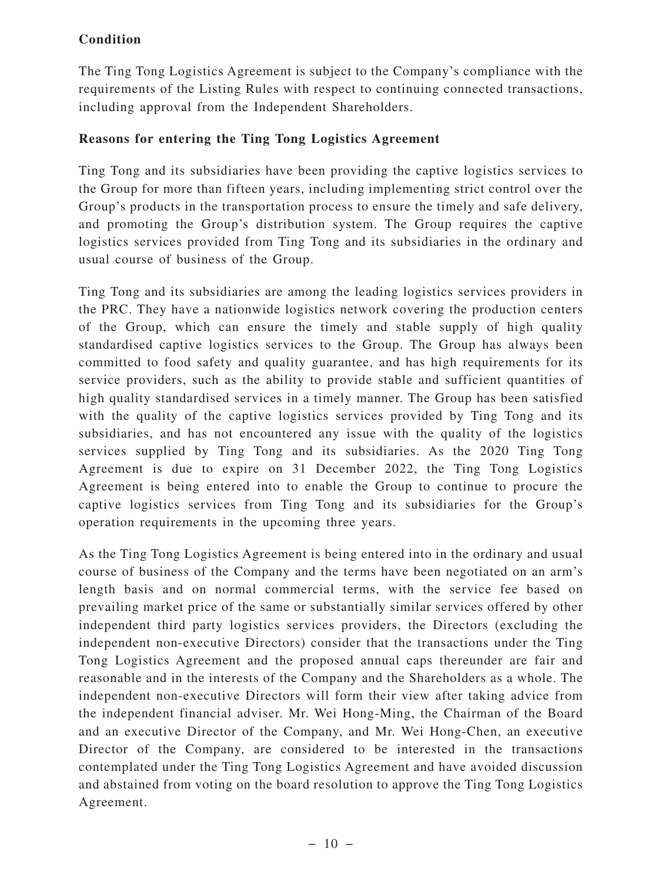#### **Condition**

The Ting Tong Logistics Agreement is subject to the Company's compliance with the requirements of the Listing Rules with respect to continuing connected transactions, including approval from the Independent Shareholders.

#### **Reasons for entering the Ting Tong Logistics Agreement**

Ting Tong and its subsidiaries have been providing the captive logistics services to the Group for more than fifteen years, including implementing strict control over the Group's products in the transportation process to ensure the timely and safe delivery, and promoting the Group's distribution system. The Group requires the captive logistics services provided from Ting Tong and its subsidiaries in the ordinary and usual course of business of the Group.

Ting Tong and its subsidiaries are among the leading logistics services providers in the PRC. They have a nationwide logistics network covering the production centers of the Group, which can ensure the timely and stable supply of high quality standardised captive logistics services to the Group. The Group has always been committed to food safety and quality guarantee, and has high requirements for its service providers, such as the ability to provide stable and sufficient quantities of high quality standardised services in a timely manner. The Group has been satisfied with the quality of the captive logistics services provided by Ting Tong and its subsidiaries, and has not encountered any issue with the quality of the logistics services supplied by Ting Tong and its subsidiaries. As the 2020 Ting Tong Agreement is due to expire on 31 December 2022, the Ting Tong Logistics Agreement is being entered into to enable the Group to continue to procure the captive logistics services from Ting Tong and its subsidiaries for the Group's operation requirements in the upcoming three years.

As the Ting Tong Logistics Agreement is being entered into in the ordinary and usual course of business of the Company and the terms have been negotiated on an arm's length basis and on normal commercial terms, with the service fee based on prevailing market price of the same or substantially similar services offered by other independent third party logistics services providers, the Directors (excluding the independent non-executive Directors) consider that the transactions under the Ting Tong Logistics Agreement and the proposed annual caps thereunder are fair and reasonable and in the interests of the Company and the Shareholders as a whole. The independent non-executive Directors will form their view after taking advice from the independent financial adviser. Mr. Wei Hong-Ming, the Chairman of the Board and an executive Director of the Company, and Mr. Wei Hong-Chen, an executive Director of the Company, are considered to be interested in the transactions contemplated under the Ting Tong Logistics Agreement and have avoided discussion and abstained from voting on the board resolution to approve the Ting Tong Logistics Agreement.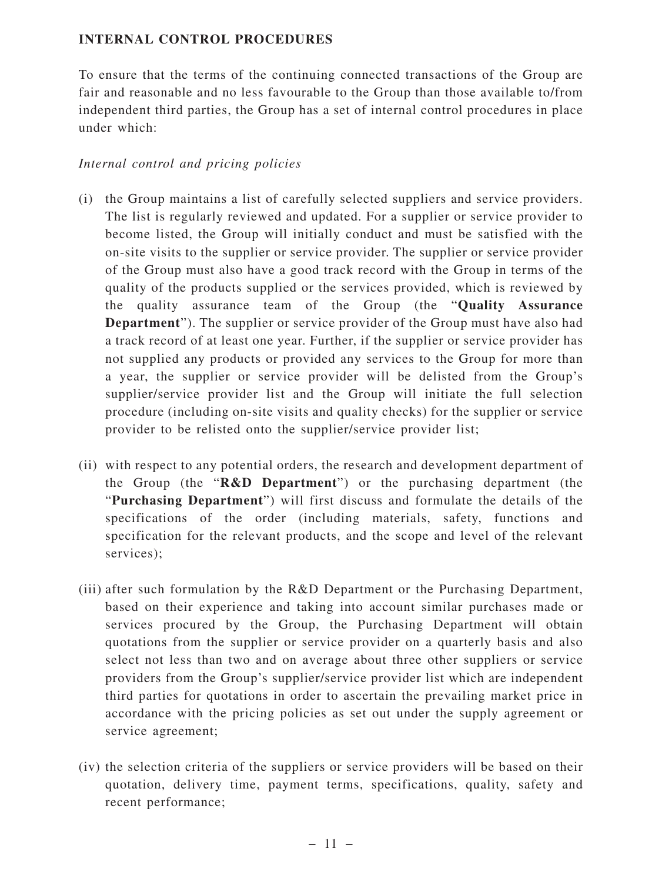#### **INTERNAL CONTROL PROCEDURES**

To ensure that the terms of the continuing connected transactions of the Group are fair and reasonable and no less favourable to the Group than those available to/from independent third parties, the Group has a set of internal control procedures in place under which:

#### *Internal control and pricing policies*

- (i) the Group maintains a list of carefully selected suppliers and service providers. The list is regularly reviewed and updated. For a supplier or service provider to become listed, the Group will initially conduct and must be satisfied with the on-site visits to the supplier or service provider. The supplier or service provider of the Group must also have a good track record with the Group in terms of the quality of the products supplied or the services provided, which is reviewed by the quality assurance team of the Group (the "**Quality Assurance Department**"). The supplier or service provider of the Group must have also had a track record of at least one year. Further, if the supplier or service provider has not supplied any products or provided any services to the Group for more than a year, the supplier or service provider will be delisted from the Group's supplier/service provider list and the Group will initiate the full selection procedure (including on-site visits and quality checks) for the supplier or service provider to be relisted onto the supplier/service provider list;
- (ii) with respect to any potential orders, the research and development department of the Group (the "**R&D Department**") or the purchasing department (the "**Purchasing Department**") will first discuss and formulate the details of the specifications of the order (including materials, safety, functions and specification for the relevant products, and the scope and level of the relevant services);
- (iii) after such formulation by the R&D Department or the Purchasing Department, based on their experience and taking into account similar purchases made or services procured by the Group, the Purchasing Department will obtain quotations from the supplier or service provider on a quarterly basis and also select not less than two and on average about three other suppliers or service providers from the Group's supplier/service provider list which are independent third parties for quotations in order to ascertain the prevailing market price in accordance with the pricing policies as set out under the supply agreement or service agreement;
- (iv) the selection criteria of the suppliers or service providers will be based on their quotation, delivery time, payment terms, specifications, quality, safety and recent performance;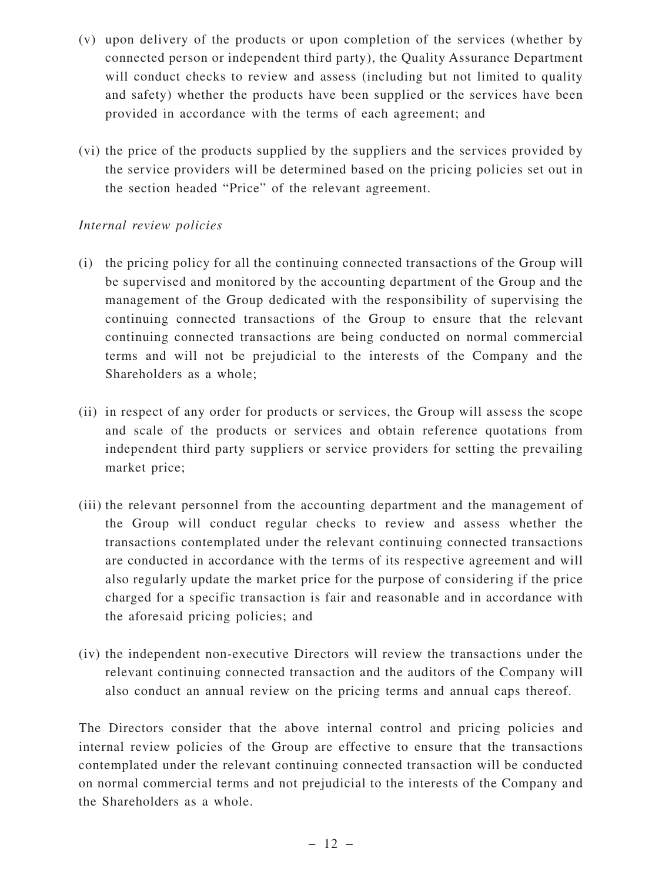- (v) upon delivery of the products or upon completion of the services (whether by connected person or independent third party), the Quality Assurance Department will conduct checks to review and assess (including but not limited to quality and safety) whether the products have been supplied or the services have been provided in accordance with the terms of each agreement; and
- (vi) the price of the products supplied by the suppliers and the services provided by the service providers will be determined based on the pricing policies set out in the section headed "Price" of the relevant agreement.

#### *Internal review policies*

- (i) the pricing policy for all the continuing connected transactions of the Group will be supervised and monitored by the accounting department of the Group and the management of the Group dedicated with the responsibility of supervising the continuing connected transactions of the Group to ensure that the relevant continuing connected transactions are being conducted on normal commercial terms and will not be prejudicial to the interests of the Company and the Shareholders as a whole;
- (ii) in respect of any order for products or services, the Group will assess the scope and scale of the products or services and obtain reference quotations from independent third party suppliers or service providers for setting the prevailing market price;
- (iii) the relevant personnel from the accounting department and the management of the Group will conduct regular checks to review and assess whether the transactions contemplated under the relevant continuing connected transactions are conducted in accordance with the terms of its respective agreement and will also regularly update the market price for the purpose of considering if the price charged for a specific transaction is fair and reasonable and in accordance with the aforesaid pricing policies; and
- (iv) the independent non-executive Directors will review the transactions under the relevant continuing connected transaction and the auditors of the Company will also conduct an annual review on the pricing terms and annual caps thereof.

The Directors consider that the above internal control and pricing policies and internal review policies of the Group are effective to ensure that the transactions contemplated under the relevant continuing connected transaction will be conducted on normal commercial terms and not prejudicial to the interests of the Company and the Shareholders as a whole.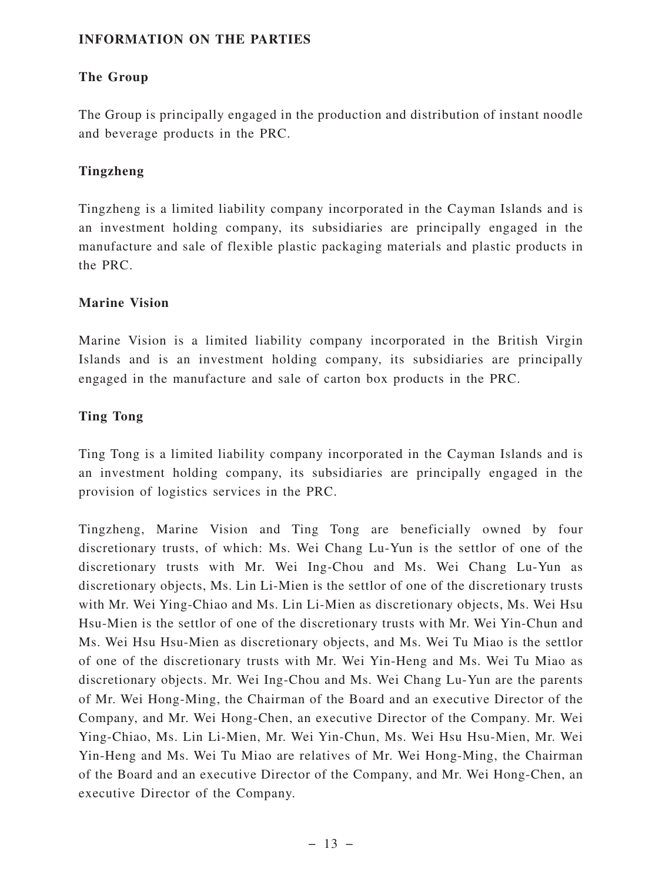#### **INFORMATION ON THE PARTIES**

#### **The Group**

The Group is principally engaged in the production and distribution of instant noodle and beverage products in the PRC.

#### **Tingzheng**

Tingzheng is a limited liability company incorporated in the Cayman Islands and is an investment holding company, its subsidiaries are principally engaged in the manufacture and sale of flexible plastic packaging materials and plastic products in the PRC.

#### **Marine Vision**

Marine Vision is a limited liability company incorporated in the British Virgin Islands and is an investment holding company, its subsidiaries are principally engaged in the manufacture and sale of carton box products in the PRC.

#### **Ting Tong**

Ting Tong is a limited liability company incorporated in the Cayman Islands and is an investment holding company, its subsidiaries are principally engaged in the provision of logistics services in the PRC.

Tingzheng, Marine Vision and Ting Tong are beneficially owned by four discretionary trusts, of which: Ms. Wei Chang Lu-Yun is the settlor of one of the discretionary trusts with Mr. Wei Ing-Chou and Ms. Wei Chang Lu-Yun as discretionary objects, Ms. Lin Li-Mien is the settlor of one of the discretionary trusts with Mr. Wei Ying-Chiao and Ms. Lin Li-Mien as discretionary objects, Ms. Wei Hsu Hsu-Mien is the settlor of one of the discretionary trusts with Mr. Wei Yin-Chun and Ms. Wei Hsu Hsu-Mien as discretionary objects, and Ms. Wei Tu Miao is the settlor of one of the discretionary trusts with Mr. Wei Yin-Heng and Ms. Wei Tu Miao as discretionary objects. Mr. Wei Ing-Chou and Ms. Wei Chang Lu-Yun are the parents of Mr. Wei Hong-Ming, the Chairman of the Board and an executive Director of the Company, and Mr. Wei Hong-Chen, an executive Director of the Company. Mr. Wei Ying-Chiao, Ms. Lin Li-Mien, Mr. Wei Yin-Chun, Ms. Wei Hsu Hsu-Mien, Mr. Wei Yin-Heng and Ms. Wei Tu Miao are relatives of Mr. Wei Hong-Ming, the Chairman of the Board and an executive Director of the Company, and Mr. Wei Hong-Chen, an executive Director of the Company.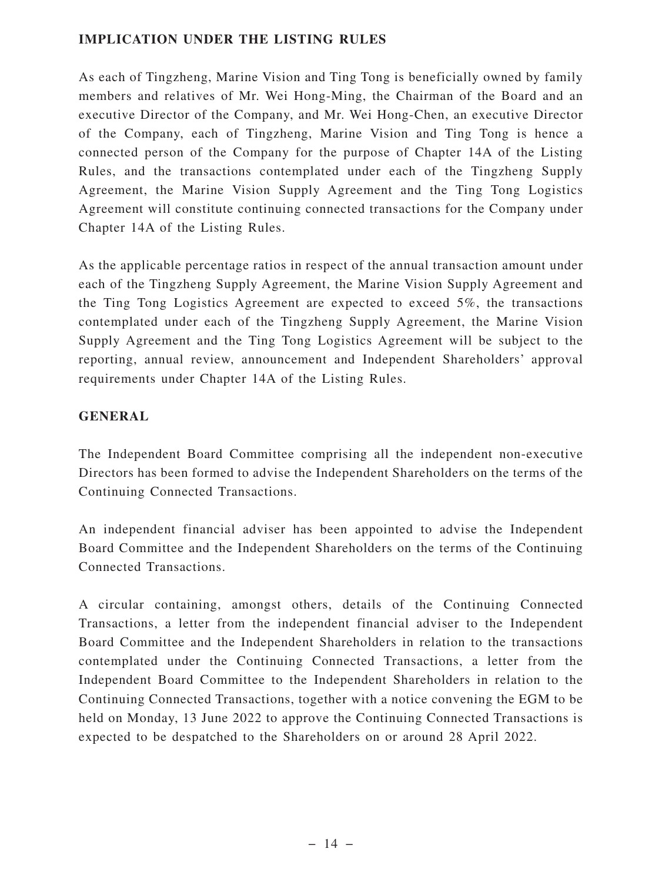#### **IMPLICATION UNDER THE LISTING RULES**

As each of Tingzheng, Marine Vision and Ting Tong is beneficially owned by family members and relatives of Mr. Wei Hong-Ming, the Chairman of the Board and an executive Director of the Company, and Mr. Wei Hong-Chen, an executive Director of the Company, each of Tingzheng, Marine Vision and Ting Tong is hence a connected person of the Company for the purpose of Chapter 14A of the Listing Rules, and the transactions contemplated under each of the Tingzheng Supply Agreement, the Marine Vision Supply Agreement and the Ting Tong Logistics Agreement will constitute continuing connected transactions for the Company under Chapter 14A of the Listing Rules.

As the applicable percentage ratios in respect of the annual transaction amount under each of the Tingzheng Supply Agreement, the Marine Vision Supply Agreement and the Ting Tong Logistics Agreement are expected to exceed 5%, the transactions contemplated under each of the Tingzheng Supply Agreement, the Marine Vision Supply Agreement and the Ting Tong Logistics Agreement will be subject to the reporting, annual review, announcement and Independent Shareholders' approval requirements under Chapter 14A of the Listing Rules.

#### **GENERAL**

The Independent Board Committee comprising all the independent non-executive Directors has been formed to advise the Independent Shareholders on the terms of the Continuing Connected Transactions.

An independent financial adviser has been appointed to advise the Independent Board Committee and the Independent Shareholders on the terms of the Continuing Connected Transactions.

A circular containing, amongst others, details of the Continuing Connected Transactions, a letter from the independent financial adviser to the Independent Board Committee and the Independent Shareholders in relation to the transactions contemplated under the Continuing Connected Transactions, a letter from the Independent Board Committee to the Independent Shareholders in relation to the Continuing Connected Transactions, together with a notice convening the EGM to be held on Monday, 13 June 2022 to approve the Continuing Connected Transactions is expected to be despatched to the Shareholders on or around 28 April 2022.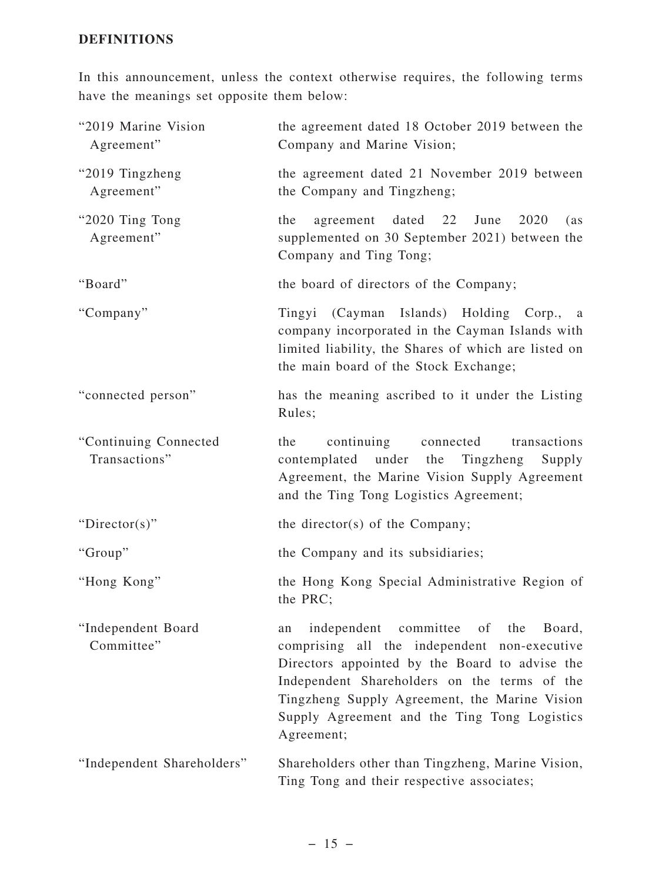#### **DEFINITIONS**

In this announcement, unless the context otherwise requires, the following terms have the meanings set opposite them below:

| "2019 Marine Vision<br>Agreement"      | the agreement dated 18 October 2019 between the<br>Company and Marine Vision;                                                                                                                                                                                                                                 |
|----------------------------------------|---------------------------------------------------------------------------------------------------------------------------------------------------------------------------------------------------------------------------------------------------------------------------------------------------------------|
| "2019 Tingzheng<br>Agreement"          | the agreement dated 21 November 2019 between<br>the Company and Tingzheng;                                                                                                                                                                                                                                    |
| "2020 Ting Tong<br>Agreement"          | agreement dated 22<br>June<br>2020<br>the<br>(as<br>supplemented on 30 September 2021) between the<br>Company and Ting Tong;                                                                                                                                                                                  |
| "Board"                                | the board of directors of the Company;                                                                                                                                                                                                                                                                        |
| "Company"                              | Tingyi (Cayman Islands) Holding Corp., a<br>company incorporated in the Cayman Islands with<br>limited liability, the Shares of which are listed on<br>the main board of the Stock Exchange;                                                                                                                  |
| "connected person"                     | has the meaning ascribed to it under the Listing<br>Rules;                                                                                                                                                                                                                                                    |
| "Continuing Connected<br>Transactions" | continuing connected<br>the<br>transactions<br>contemplated under the<br>Tingzheng<br>Supply<br>Agreement, the Marine Vision Supply Agreement<br>and the Ting Tong Logistics Agreement;                                                                                                                       |
| " $Directory$ "                        | the director(s) of the Company;                                                                                                                                                                                                                                                                               |
| "Group"                                | the Company and its subsidiaries;                                                                                                                                                                                                                                                                             |
| "Hong Kong"                            | the Hong Kong Special Administrative Region of<br>the PRC;                                                                                                                                                                                                                                                    |
| "Independent Board<br>Committee"       | independent committee of the<br>Board,<br>an<br>comprising all the independent non-executive<br>Directors appointed by the Board to advise the<br>Independent Shareholders on the terms of the<br>Tingzheng Supply Agreement, the Marine Vision<br>Supply Agreement and the Ting Tong Logistics<br>Agreement; |
| "Independent Shareholders"             | Shareholders other than Tingzheng, Marine Vision,<br>Ting Tong and their respective associates;                                                                                                                                                                                                               |